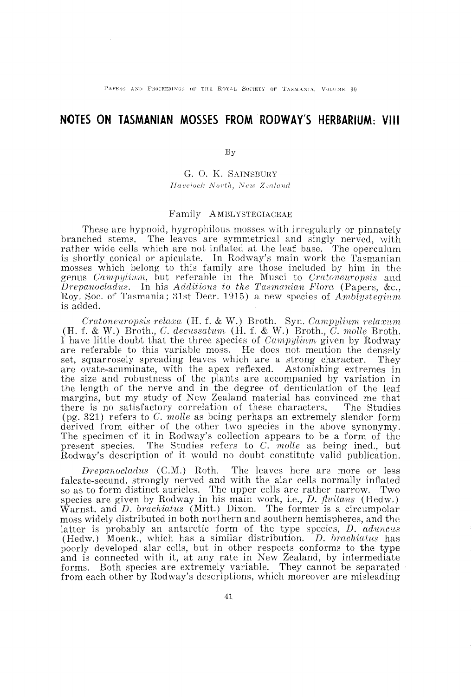PAPERS AND PROCEEDINGS OF THE ROYAL SOCIETY OF TASMANIA, VOLUME 90

# **NOTES ON TASMANIAN MOSSES FROM' RODWAY'S HERBARIUM: VIII**

By

G. O. K. SAINSBURY *Havelock North, New Zealand* 

### Family AMBLYSTEGIACEAE

These are hypnoid, hygrophilous mosses with irregularly or pinnately branched stems. The leaves are symmetrical and singly nerved, with rather wide cells which are not inflated at the leaf base. The operculum is shortly conical or apiculate. In Rodway's main work the Tasmanian mosses which belong to this family are those included by him in the genus *Campylium,* but referable in the Musci to *Cratoneuropsis* and *Drepanocladus.* In his *Additions to the Tasmanian Flora* (Papers, &c., Roy. Soc. of Tasmania; 31st Decr. 1915) a new species of *Amblystegium*  is added.

*Oratoneuropsis relaxa* (H. f. & W.) Broth. Syn. *Campylium relax'nm*   $(H. f. \& W.)$  Broth., C. decussatum  $(H. f. \& W.)$  Broth., C. *molle* Broth. I have little doubt that the three species of *Campylium* given by Rodway are referable to this variable moss. He does not mention the densely set, squarrosely spreading leaves which are a strong character. They are ovate-acuminate, with the apex reflexed. Astonishing extremes in the size and robustness of the plants are accompanied by variation in the length of the nerve and in the degree of denticulation of the leaf margins, but my study of New Zealand material has convinced me that there is no satisfactory correlation of these characters. The Studies (pg. 321) refers to C. *molle* as being perhaps an extremely slender form derived from either of the other two species in the above synonymy. The specimen of it in Rodway's collection appears to be a form of the present species. The Studies refers to C. *molle* as being ined., but Rodway's description of it would no doubt constitute valid publication.

*Drepanocladus* (C.M.) Roth. The leaves here are more or less falcate-secund, strongly nerved and with the alar cells normally inflated so as to form distinct auricles. The upper cells are rather narrow. Two species are given by Rodway in his main work, i.e., *D. fiuitans* (Hedw.) Warnst. and *D. brachiatus* (Mitt.) Dixon. The former is a circumpolar moss widely distributed in both northern and southern hemispheres, and the latter is probably an antarctic form of the type species, *D. aduncus* (Hedw.) Moenk., which has a similar distribution. *D. brachiatus* has poorly developed alar cells, but in other respects conforms to the type and is connected with it, at any rate in New Zealand, by intermediate forms. Both species are extremely variable. They cannot be separated from each other by Rodway's descriptions, which moreover are misleading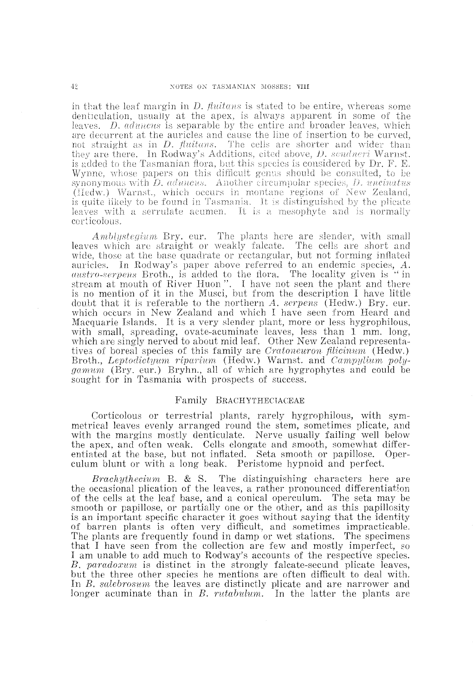in that the leaf margin in *D. fiuitans* is stated to be entire, whereas some denticulation, usually at the apex, is always apparent in some of the leaves. *D. aduncus* is separable by the entire and broader leaves, which are decurrent at the auricles and cause the line of insertion to be curved, not straight as in *D. fiuitans.* The cells are shorter and wider than they are there. In Rodway's Additions, cited above, *D. sendneri* Warnst. is added to the Tasmanian flora, but this species is considered by Dr. F. E. Wynne, whose papers on this difficult genus should be consulted, to be synonymous with *D. aduncus.* Another circumpolar species, *D. uncinatus*  (Hedw.) Warnst., which occurs in montane regions of New Zealand, is quite likely to be found in Tasmania. It is distinguished by the plicate leaves with a serrulate acumen. It is a mesophyte and is normally corticolous.

*Amblystegium* Bry. eur. The plants here are slender, with small leaves which are straight or weakly falcate. The cells are short and wide, those at the base quadrate or rectangular, but not forming inflated auricles. In Rodway's paper above referred to an endemic species, A. *austro-serpens* Broth., is added to the flora. The locality given is "in stream at mouth of River Huon". I have not seen the plant and there is no mention of it in the Musci, but from the description I have little doubt that it is referable to the northern *A. serpens* (Hedw.) Bry. eur. which occurs in New Zealand and which I have seen from Heard and Macquarie Islands. It is a very slender plant, more or less hygrophilous, with small, spreading, ovate-acuminate leaves, less than 1 mm. long, which are singly nerved to about mid leaf. Other New Zealand representatives of boreal species of this family are *Cratoneuron filicinum* (Hedw.) Broth., *Leptodictyum riparium* (Hedw.) Warnst. and *Campylium polygamum* (Bry. eur.) Bryhn., all of which are hygrophytes and could be sought for in Tasmania with prospects of success.

## Family BRACHYTHECIACEAE

Corticolous or terrestrial plants, rarely hygrophilous, with symmetrical leaves evenly arranged round the stem, sometimes plicate, and with the margins mostly denticulate. Nerve usually failing well below the apex, and often weak. Cells elongate and smooth, somewhat differentiated at the base, but not inflated. Seta smooth or papillose. Operculum blunt or with a long beak. Peristome hypnoid and perfect.

*Brachythecium* B. & S. The distinguishing characters here are the occasional plication of the leaves, a rather pronounced differentiation of the cells at the leaf base, and a conical operculum. The seta may be smooth or papillose, or partially one or the other, and as this papillosity is an important specific character it goes without saying that the identity 'Of barren plants is often very difficult, and sometimes impracticable. The plants are frequently found in damp or wet stations. The specimens that I have seen from the collection are few and mostly imperfect, so I am unable to add much to Rodway's accounts of the respective species. *B. paradoxum* is distinct in the strongly falcate-secund plicate leaves, but the three other species he mentions are often difficult to deal with. In *B. salebrosurn* the leaves are distinctly plicate and are narrower and longer acuminate than in *B. rutabulum.* In the latter the plants are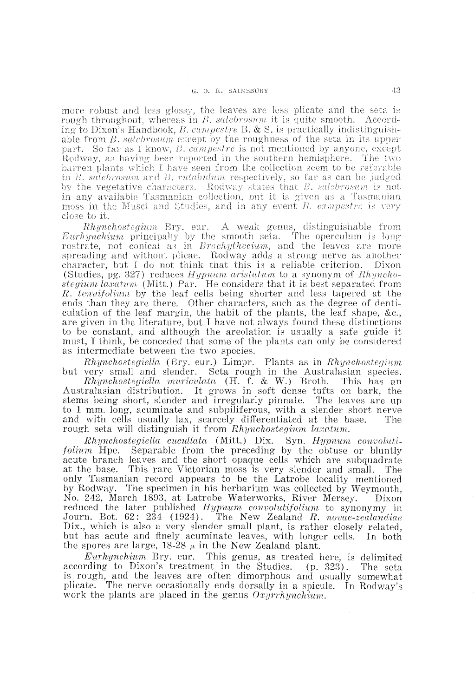more robust and less glossy, the leaves are less plicate and the seta is rough throughout, whereas in *B. salebrosum* it is quite smooth. According to Dixon's Handbook, *B. campestre* B. & S. is practically indistinguishable from *B. salebrosum* except by the roughness of the seta in its upper part. So far as I know, *B. campestre* is not mentioned by anyone, except Rodway, as having been reported in the southern hemisphere. The two barren plants which I have seen from the collection seem to be referable to *B*. *salebrosum* and *B*. *rutabulum* respectively, so far as can be judged by the vegetative characters. Rodway states that *B. salebrosum* is not in any available Tasmanian collection, but it is given as a Tasmanian moss in the Musci and Studies, and in any event *B. campestre* is very close to it.

*Rhynchostegium* Bry. eur. A weak genus, distinguishable from *Eurhynchium* principally by the smooth seta. The operculum is long rostrate, not conical as in *Brachythecium,* and the leaves are more spreading and without plicae. Rodway adds a strong nerve as another character, but I do not think that this is a reliable criterion. Dixon (Studies, pg. 327) reduces *Hypnum aristatum* to a synonym of *Rhynchostegium laxatum* (Mitt.) Par. He considers that it is best separated from *R. tenuifolium* by the leaf cells being shorter and less tapered at the ends than they are there. Other characters, such as the degree of denticulation of the leaf margin, the habit of the plants, the leaf shape, &c., are given in the literature, but I have not always found these distinctions to be constant, and although the areolation is usually a safe guide it must, I think, be conceded that some of the plants can only be considered as intermediate between the two species.

*Rhynchostegiella* (Bry. eur.) Limpr. Plants as in *Rhynchosteginm*  but very small and slender. Seta rough in the Australasian species.

*Rhynchostegiella muriculata* (H. f. & W.) Broth. This has an Australasian distribution. It grows in soft dense tufts on bark, the stems being short, slender and irregularly pinnate. The leaves are up to 1 mm. long, acuminate and subpiliferous, with a slender short nerve and with cells usually lax, scarcely differentiated at the base. The rough seta will distinguish it from *Rhynchostegium laxatum*.

*Rhynchostegiella cucullata* (Mitt.) Dix. Syn. *Hypnum convolttt'ifolium* Hpe. Separable from the preceding by the obtuse or bluntly acute branch leaves and the short opaque cells which are subquadrate at the base. This rare Victorian moss is very slender and small. The only Tasmanian record appears to be the Latrobe locality mentioned by Rodway. The specimen in his herbarium was collected by Weymouth, No. 242, March 1893, at Latrobe Waterworks, River Mersey. Dixon reduced the later published *Hypnum convolutifolium* to synonymy in Journ. Bot. 62: 234 (1924). The New Zealand R. novae-zealandiae The New Zealand R. novae-zealandiae Dix., which is also a very slender small plant, is rather closely related, but has acute and finely acuminate leaves, with longer cells. In both the spores are large, 18-28  $\mu$  in the New Zealand plant.

*EUThynchium* Bry. eur. This genus, as treated here, is delimited according to Dixon's treatment in the Studies. (p. 323). The seta is rough, and the leaves are often dimorphous and usually somewhat plicate. The nerve occasionally ends dorsally in a spicule. In Rodway's work the plants are placed in the genus *Oxyrrhynchium*.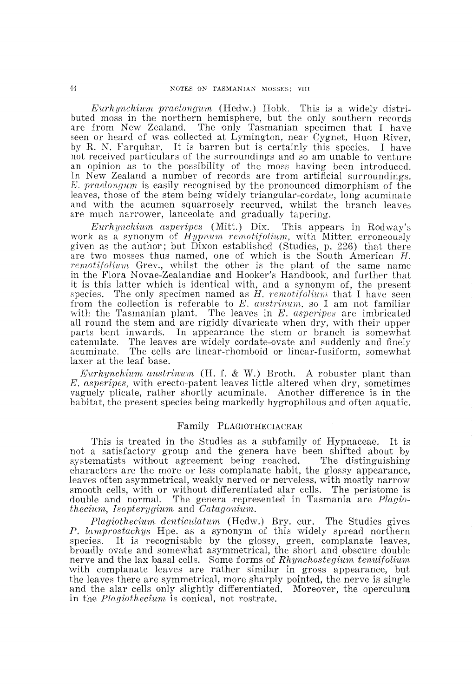$Eurhynchium\ praelongum$  (Hedw.) Hobk. This is a widely distributed moss in the northern hemisphere, but the only southern records are from New Zealand. The only Tasmanian specimen that I have seen or heard of was collected at Lymington, near Cygnet, Huon River, by R. N. Farque natural It is barrent but is certainly this species. I have not received particulars of the surroundings and so am unable to venture an opinion as to the possibility of the moss having been introduced.<br>In New Zealand a number of records are from artificial surroundings. E. praelongum is easily recognised by the pronounced dimorphism of the leaves, those of the stem being widely triangular-cordate, long acuminate and with the acumen squarrosely recurved, whilst the branch leaves are much narrower, lanceolate and gradually tapering.

Eurhynchium asperipes (Mitt.) Dix. This appears in Rodway's work as a synonym of *Hypnum remotifolium*, with Mitten erroneously given as the author; but Dixon established (Studies, p. 226) that there are two mosses thus named, one of which is the South American  $H$ . Grev., whilst the other is the plant of the same name Novae-Zealandiae and Hooker's Handbook, and further that it is this latter which is identical with, and a synonym of, the present species. The only specimen named as H. remotifolium that I have seen from the collection is referable to *E. austrinum*, so I am not familiar with the Tasmanian plant. The leaves in  $E$ , asperings are imbricated all round the stem and are rigidly divaricate when dry, with their upper parts bent inwards. In appearance the stem or branch is somewhat catenulate. The leaves are widely cordate-ovate and suddenly and finely acuminate. The cells are linear-rhomboid or linear-fusiform, somewhat laxer at the leaf base.

. f. & W.) Broth. A robuster plant than leaves little altered when dry, sometimes acuminate. Another difference is in the markedly hygrophilous and often

#### Family PLAGIOTHECIACEAE

This is treated in the Studies as a subfamily of Hypnaceae. It is not a satisfactory group and the genera have been shifted about by systematists without agreement being reached. The distinguishing systematists without agreement being reached. characters are the more or less complanate habit, the glossy appearance, leaves often asymmetrical, weakly nerved or nerveless, with mostly narrow smooth cells, with or without differentiated alar cells. The peristome is double and normal. The genera represented in Tasmania are Plagio*thecium, Isopterygium* and *Catagonium*.

Plagiothecium denticulatum (Hedw.) Bry. eur. The Studies gives P. lamprostachys Hpe. as a synonym of this widely spread northern species. It is recognisable by the glossy, green, complanate leaves, broadly ovate and somewhat asymmetrical, the short and obscure double nerve and the lax basal cells. Some forms of Rhynchostegium tenuifolium with complanate leaves are rather similar in gross appearance, but the leaves there are symmetrical, more sharply pointed, the nerve is single and the alar cells only slightly differentiated. Moreover, the operculum in the *Plagiothecium* is conical, not rostrate.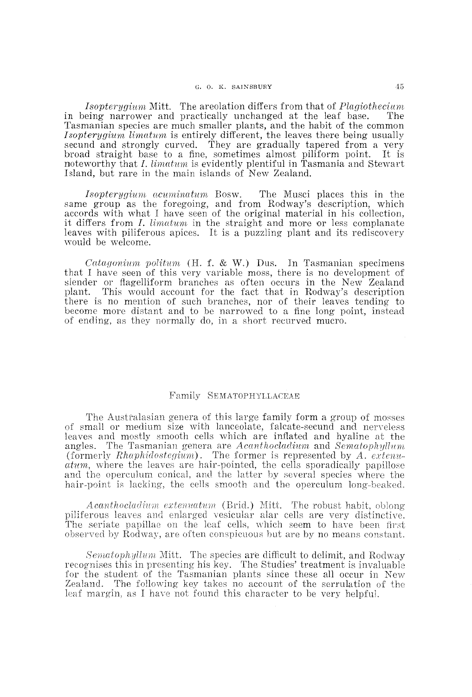*Isopterygium Mitt.* The areolation differs from that of *Plagiothecium* in being narrower and practically unchanged at the leaf base. The Tasmanian species are much smaller plants, and the habit of the common *Isopterygium limatum* is entirely different, the leaves there being usually secund and strongly curved. They are gradually tapered from a very broad straight base to a fine, sometimes almost piliform point. It is noteworthy that *I. limatum* is evidently plentiful in Tasmania and Stewart Island, but rare in the main islands of New Zealand.

*Isopterygium acuminatum* Bosw. The Musci places this in the same group as the foregoing, and from Rodway's description, which accords with what I have seen of the original material in his collection, it differs from *I. limatum* in the straight and more or less complanate leaves with piliferous apices. It is a puzzling plant and its rediscovery would be welcome.

*Catagonium politum* (H. f. & W.) Dus. In Tasmanian specimens that I have seen of this very variable moss, there is no development of slender or flagelliform branches as often occurs in the New Zealand plant. This would account for the fact that in Rodway's description there is no mention of such branches, nor of their leaves tending to become more distant and to be narrowed to a fine long point, instead of ending, as they normally do, in a short recurved mucro.

# Family SEMATOPHYLLACEAE

The Australasian genera of this large family form a group of mosses of small or medium size with lanceolate, falcate-secund and nerveless leaves and mostly smooth cells which are inflated and hyaline at the angles. The Tasmanian genera are *Acanthocladium* and *Sematophyllum* (formerly *Rhaphidostegium).* The former is represented by *A. extenuatum,* where the leaves are hair-pointed, the cells sporadically papillose and the operculum conical, and the latter by several species where the hair-point is lacking, the cells smooth and the operculum long-beaked.

*Acanthocladium extenuatmn* (Brid.) Mitt. The robust habit, oblong piliferous leaves and enlarged vesicular alar cells are very distinctive. The seriate papillae on the leaf cells, which seem to have been first observed by Rodway, are often conspicuous but are by no means constant.

*Sematophyllum* Mitt. The species are difficult to delimit, and Rodway recognises this in presenting his key. The Studies' treatment is invaluable for the student of the Tasmanian plants since these all occur in New Zealand. The following key takes no account of the serrulation of the leaf margin, as I have not found this character to be very helpful.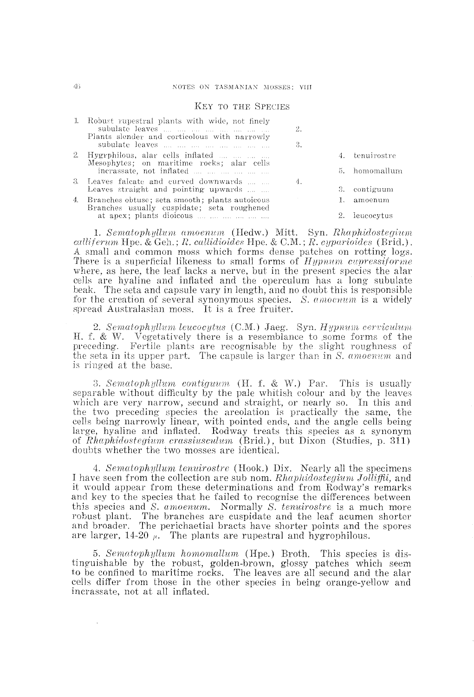#### KEY TO THE SPECIES

|  | 1. Robust rupestral plants with wide, not finely                                                | 2.                                                                            |                                           |
|--|-------------------------------------------------------------------------------------------------|-------------------------------------------------------------------------------|-------------------------------------------|
|  | Plants slender and corticolous with narrowly                                                    | 3.                                                                            |                                           |
|  | 2. Hygrphilous, alar cells inflated<br>Mesophytes; on maritime rocks; alar cells                |                                                                               | 4. tenuirostre                            |
|  | incrassate, not inflated                                                                        |                                                                               | 5. homomallum                             |
|  | 3. Leaves falcate and curved downwards                                                          | 4.                                                                            |                                           |
|  | Leaves straight and pointing upwards                                                            |                                                                               | 3. contiguum                              |
|  | 4. Branches obtuse; seta smooth; plants autoicous<br>Branches usually cuspidate; seta roughened |                                                                               | 1. amoenum                                |
|  | at apex; plants dioicous                                                                        |                                                                               | 2. leucocytus                             |
|  | $\sim$ . The set of $\sim$                                                                      | $\lambda = 1$ , $\lambda = 1$ , $\lambda = 1$ , $\lambda = 1$ , $\lambda = 1$ | $\sim$ $\sim$ $\sim$ $\sim$ $\sim$ $\sim$ |

1. Sematophyllum amoenum (Hedw.) Mitt. Syn. *Rhaphidostegium callijerum* Hpe. & Geh.; *R. callidioides* Hpe. & C.M.; *R. cyparioide8* (Brid.). A small and common moss which forms dense patches on rotting logs. There is a superficial likeness to small forms of *Hypnum cupressiforme* where, as here, the leaf lacks a nerve, but in the present species the alar cells are hyaline and inflated and the operculum has a long subulate beak. The seta and capsule vary in length, and no doubt this is responsible for the creation of several synonymous species. *S. amoenum* is a widely spread Australasian moss. It is a free fruiter.

2. Sematophyllum leucocytus *(C.M.)* Jaeg. Syn. *Hypnum cerviculum* H. f. & W. Vegetatively there is a resemblance to some forms of the preceding. Fertile plants are recognisable by the slight roughness of Fertile plants are recognisable by the slight roughness of the seta in its upper part. The capsule is larger than in *S. amoenum* and is ringed at the base.

*3. Sematophyllum contiguum* (H. f. & W.) Par. This is usually separable without difficulty by the pale whitish colour and by the leaves which are very narrow, secund and straight, or nearly so. In this and the two preceding species the areolation is practically the same, the cells being narrowly linear, with pointed ends, and the angle cells being large, hyaline and inflated. Rodway treats this species as a synonym of *Rhaphidostegium crassiusculum* (Brid.), but Dixon (Studies, p. 311) doubts whether the two mosses are identical.

*4. SematophyUum tenuirostre* (Hook.) Dix. Nearly all the specimens I have seen from the collection are sub nom. *Rhaphidostegiurn Jolliffii,* and it would appear from these determinations and from Rodway's remarks and key to the species that he failed to recognise the differences between this species and *S. amoenum.* Normally *S. tenuirostre* is a much more robust plant. The branches are cuspidate and the leaf acumen shorter and broader. The perichaetial bracts have shorter points and the spores are larger, 14-20  $\mu$ . The plants are rupestral and hygrophilous.

*5. Sematophyllum homomaUum* (Hpe.) Broth. This species is distinguishable by the robust, golden-brown, glossy patches which seem to be confined to maritime rocks. The leaves are all secund and the alar cells differ from those in the other species in being orange-yellow and incrassate, not at all inflated.